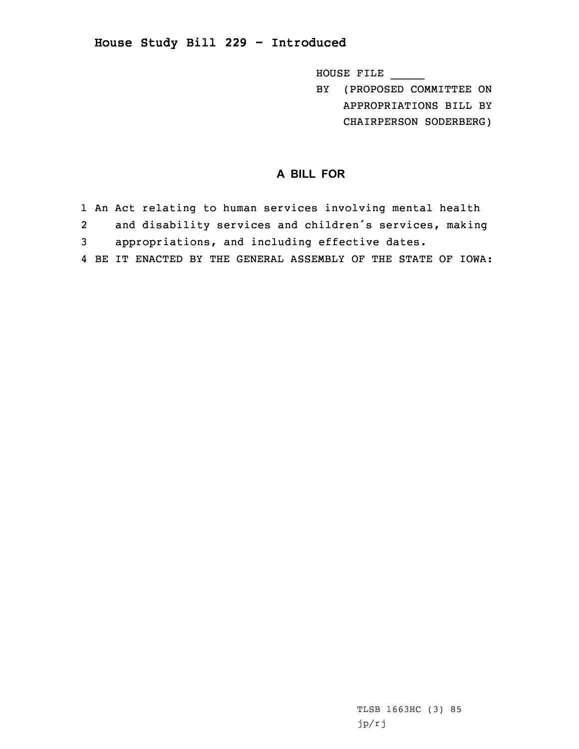## **House Study Bill 229 - Introduced**

HOUSE FILE \_\_\_\_\_

BY (PROPOSED COMMITTEE ON APPROPRIATIONS BILL BY CHAIRPERSON SODERBERG)

## **A BILL FOR**

 An Act relating to human services involving mental health and disability services and children's services, making appropriations, and including effective dates. BE IT ENACTED BY THE GENERAL ASSEMBLY OF THE STATE OF IOWA: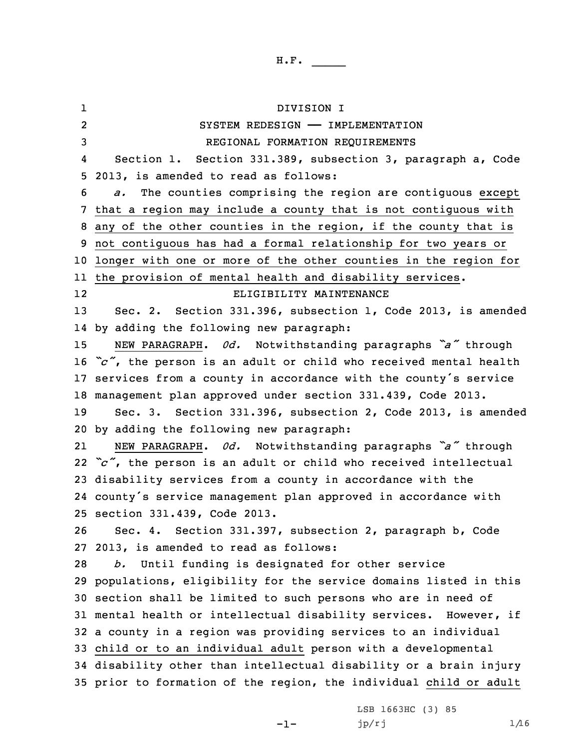1 DIVISION I 2 SYSTEM REDESIGN —— IMPLEMENTATION REGIONAL FORMATION REQUIREMENTS 4 Section 1. Section 331.389, subsection 3, paragraph a, Code 2013, is amended to read as follows: *a.* The counties comprising the region are contiguous except that <sup>a</sup> region may include <sup>a</sup> county that is not contiguous with any of the other counties in the region, if the county that is not contiguous has had <sup>a</sup> formal relationship for two years or longer with one or more of the other counties in the region for the provision of mental health and disability services. 12 ELIGIBILITY MAINTENANCE Sec. 2. Section 331.396, subsection 1, Code 2013, is amended by adding the following new paragraph: NEW PARAGRAPH. *0d.* Notwithstanding paragraphs *"a"* through *"c"*, the person is an adult or child who received mental health services from <sup>a</sup> county in accordance with the county's service management plan approved under section 331.439, Code 2013. Sec. 3. Section 331.396, subsection 2, Code 2013, is amended by adding the following new paragraph: 21 NEW PARAGRAPH. *0d.* Notwithstanding paragraphs *"a"* through *"c"*, the person is an adult or child who received intellectual disability services from <sup>a</sup> county in accordance with the county's service management plan approved in accordance with section 331.439, Code 2013. Sec. 4. Section 331.397, subsection 2, paragraph b, Code 2013, is amended to read as follows: *b.* Until funding is designated for other service populations, eligibility for the service domains listed in this section shall be limited to such persons who are in need of mental health or intellectual disability services. However, if <sup>a</sup> county in <sup>a</sup> region was providing services to an individual child or to an individual adult person with <sup>a</sup> developmental disability other than intellectual disability or <sup>a</sup> brain injury prior to formation of the region, the individual child or adult

 $-1-$ 

LSB 1663HC (3) 85  $jp/rj$  1/16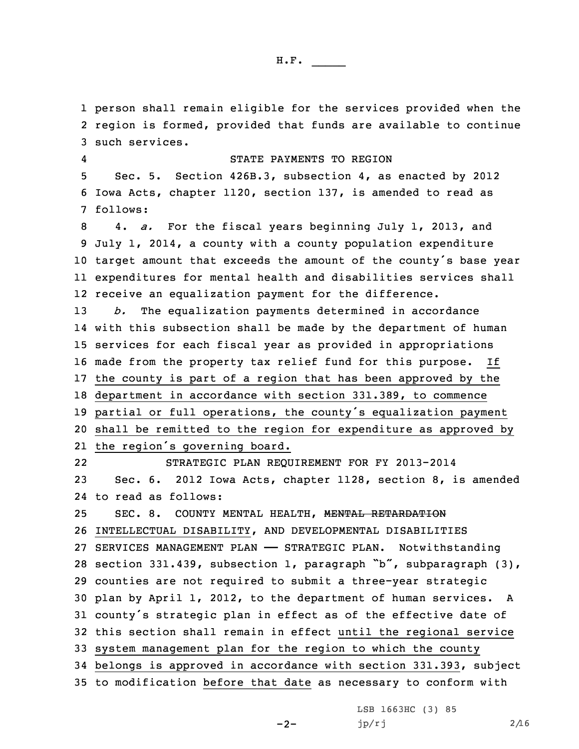person shall remain eligible for the services provided when the region is formed, provided that funds are available to continue such services. 4 STATE PAYMENTS TO REGION Sec. 5. Section 426B.3, subsection 4, as enacted by 2012 Iowa Acts, chapter 1120, section 137, is amended to read as 7 follows: 4. *a.* For the fiscal years beginning July 1, 2013, and July 1, 2014, <sup>a</sup> county with <sup>a</sup> county population expenditure target amount that exceeds the amount of the county's base year expenditures for mental health and disabilities services shall receive an equalization payment for the difference. *b.* The equalization payments determined in accordance with this subsection shall be made by the department of human services for each fiscal year as provided in appropriations made from the property tax relief fund for this purpose. If the county is part of <sup>a</sup> region that has been approved by the department in accordance with section 331.389, to commence partial or full operations, the county's equalization payment shall be remitted to the region for expenditure as approved by the region's governing board. 22 STRATEGIC PLAN REQUIREMENT FOR FY 2013-2014 Sec. 6. 2012 Iowa Acts, chapter 1128, section 8, is amended to read as follows: 25 SEC. 8. COUNTY MENTAL HEALTH, MENTAL RETARDATION INTELLECTUAL DISABILITY, AND DEVELOPMENTAL DISABILITIES SERVICES MANAGEMENT PLAN —— STRATEGIC PLAN. Notwithstanding section 331.439, subsection 1, paragraph "b", subparagraph (3), counties are not required to submit <sup>a</sup> three-year strategic plan by April 1, 2012, to the department of human services. <sup>A</sup> county's strategic plan in effect as of the effective date of this section shall remain in effect until the regional service system management plan for the region to which the county belongs is approved in accordance with section 331.393, subject to modification before that date as necessary to conform with

 $-2-$ 

LSB 1663HC (3) 85  $jp/rj$  2/16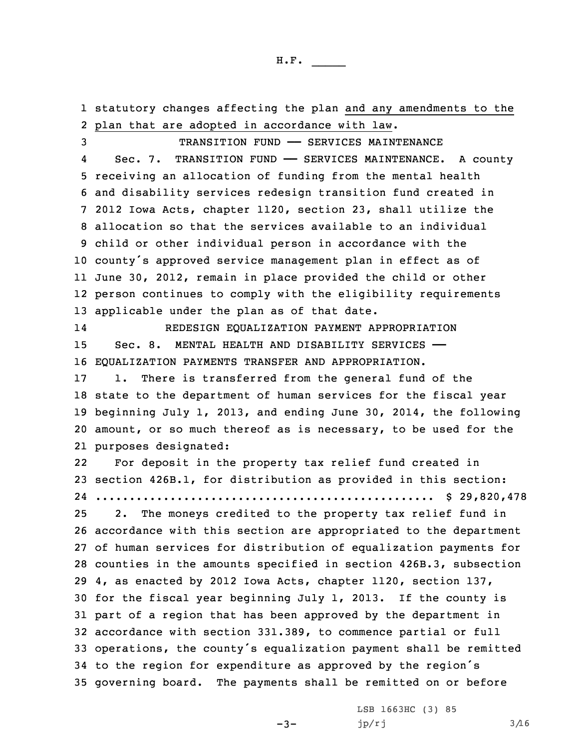statutory changes affecting the plan and any amendments to the plan that are adopted in accordance with law. TRANSITION FUND —— SERVICES MAINTENANCE 4Sec. 7. TRANSITION FUND - SERVICES MAINTENANCE. A county receiving an allocation of funding from the mental health and disability services redesign transition fund created in 2012 Iowa Acts, chapter 1120, section 23, shall utilize the allocation so that the services available to an individual child or other individual person in accordance with the county's approved service management plan in effect as of June 30, 2012, remain in place provided the child or other person continues to comply with the eligibility requirements applicable under the plan as of that date. 14 REDESIGN EQUALIZATION PAYMENT APPROPRIATION 15 Sec. 8. MENTAL HEALTH AND DISABILITY SERVICES - EQUALIZATION PAYMENTS TRANSFER AND APPROPRIATION. 1. There is transferred from the general fund of the state to the department of human services for the fiscal year beginning July 1, 2013, and ending June 30, 2014, the following amount, or so much thereof as is necessary, to be used for the purposes designated: 22 For deposit in the property tax relief fund created in section 426B.1, for distribution as provided in this section: .................................................. \$ 29,820,478 2. The moneys credited to the property tax relief fund in accordance with this section are appropriated to the department of human services for distribution of equalization payments for counties in the amounts specified in section 426B.3, subsection 4, as enacted by 2012 Iowa Acts, chapter 1120, section 137, for the fiscal year beginning July 1, 2013. If the county is part of <sup>a</sup> region that has been approved by the department in accordance with section 331.389, to commence partial or full operations, the county's equalization payment shall be remitted to the region for expenditure as approved by the region's governing board. The payments shall be remitted on or before

 $-3-$ 

LSB 1663HC (3) 85  $jp/rj$  3/16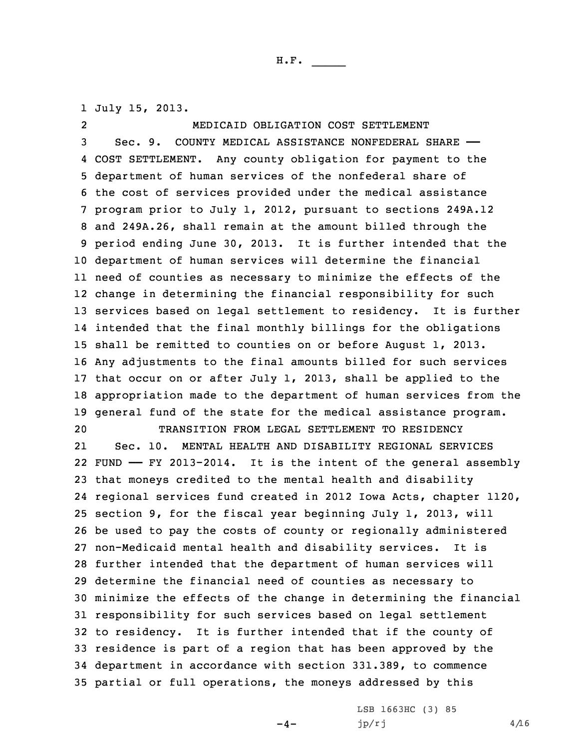1 July 15, 2013.

2 MEDICAID OBLIGATION COST SETTLEMENT Sec. 9. COUNTY MEDICAL ASSISTANCE NONFEDERAL SHARE —— COST SETTLEMENT. Any county obligation for payment to the department of human services of the nonfederal share of the cost of services provided under the medical assistance program prior to July 1, 2012, pursuant to sections 249A.12 and 249A.26, shall remain at the amount billed through the period ending June 30, 2013. It is further intended that the department of human services will determine the financial need of counties as necessary to minimize the effects of the change in determining the financial responsibility for such services based on legal settlement to residency. It is further intended that the final monthly billings for the obligations shall be remitted to counties on or before August 1, 2013. Any adjustments to the final amounts billed for such services that occur on or after July 1, 2013, shall be applied to the appropriation made to the department of human services from the general fund of the state for the medical assistance program. TRANSITION FROM LEGAL SETTLEMENT TO RESIDENCY 21 Sec. 10. MENTAL HEALTH AND DISABILITY REGIONAL SERVICES FUND —— FY 2013-2014. It is the intent of the general assembly that moneys credited to the mental health and disability regional services fund created in 2012 Iowa Acts, chapter 1120, section 9, for the fiscal year beginning July 1, 2013, will be used to pay the costs of county or regionally administered non-Medicaid mental health and disability services. It is further intended that the department of human services will determine the financial need of counties as necessary to minimize the effects of the change in determining the financial responsibility for such services based on legal settlement to residency. It is further intended that if the county of residence is part of <sup>a</sup> region that has been approved by the department in accordance with section 331.389, to commence partial or full operations, the moneys addressed by this

 $-4-$ 

LSB 1663HC (3) 85 jp/rj  $4/16$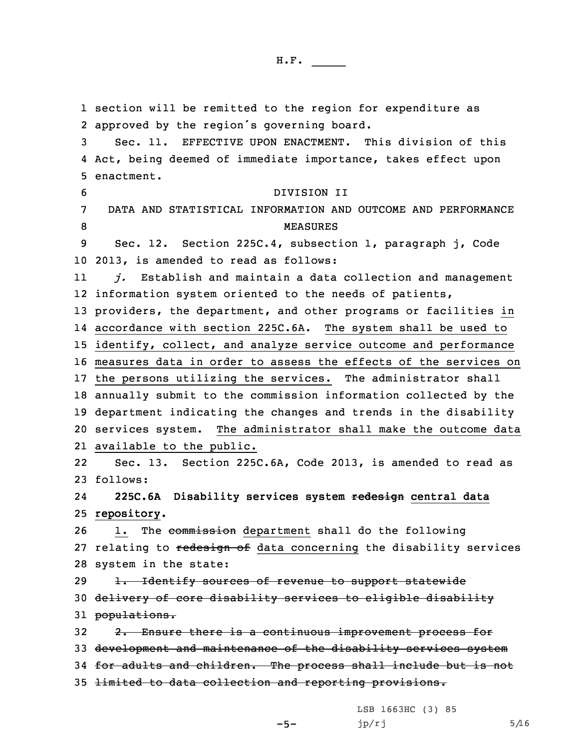section will be remitted to the region for expenditure as approved by the region's governing board. Sec. 11. EFFECTIVE UPON ENACTMENT. This division of this Act, being deemed of immediate importance, takes effect upon enactment. DIVISION II DATA AND STATISTICAL INFORMATION AND OUTCOME AND PERFORMANCE 8 MEASURES Sec. 12. Section 225C.4, subsection 1, paragraph j, Code 2013, is amended to read as follows: 11 *j.* Establish and maintain <sup>a</sup> data collection and management information system oriented to the needs of patients, providers, the department, and other programs or facilities in accordance with section 225C.6A. The system shall be used to identify, collect, and analyze service outcome and performance measures data in order to assess the effects of the services on the persons utilizing the services. The administrator shall annually submit to the commission information collected by the department indicating the changes and trends in the disability services system. The administrator shall make the outcome data available to the public. 22 Sec. 13. Section 225C.6A, Code 2013, is amended to read as 23 follows: 24 **225C.6A Disability services system redesign central data repository.** 1. The commission department shall do the following 27 relating to redesign of data concerning the disability services system in the state: 29 1. Identify sources of revenue to support statewide delivery of core disability services to eligible disability 31 populations. 32 2. Ensure there is a continuous improvement process for development and maintenance of the disability services system for adults and children. The process shall include but is not limited to data collection and reporting provisions.

LSB 1663HC (3) 85

 $jp/rj$  5/16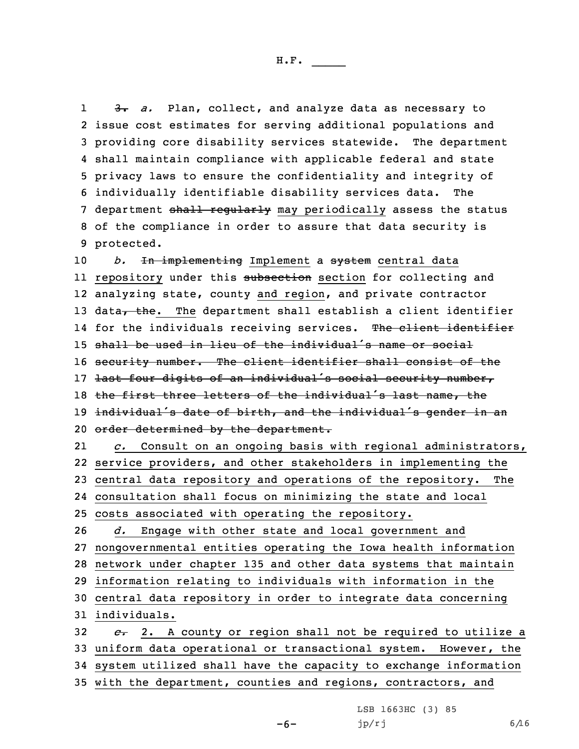1 3. *a.* Plan, collect, and analyze data as necessary to issue cost estimates for serving additional populations and providing core disability services statewide. The department shall maintain compliance with applicable federal and state privacy laws to ensure the confidentiality and integrity of individually identifiable disability services data. The 7 department shall regularly may periodically assess the status of the compliance in order to assure that data security is protected.

10 *b.* In implementing Implement a system central data ll repository under this <del>subsection</del> section for collecting and 12 analyzing state, county and region, and private contractor 13 data, the. The department shall establish a client identifier 14 for the individuals receiving services. T<del>he client identifier</del> 15 shall be used in lieu of the individual's name or social 16 security number. The client identifier shall consist of the 17 last four digits of an individual's social security number, 18 the first three letters of the individual's last name, the 19 individual's date of birth, and the individual's gender in an 20 order determined by the department. 21*c.* Consult on an ongoing basis with regional administrators,

 service providers, and other stakeholders in implementing the central data repository and operations of the repository. The consultation shall focus on minimizing the state and local costs associated with operating the repository. *d.* Engage with other state and local government and nongovernmental entities operating the Iowa health information network under chapter 135 and other data systems that maintain information relating to individuals with information in the central data repository in order to integrate data concerning individuals. *c.* 2. <sup>A</sup> county or region shall not be required to utilize <sup>a</sup> uniform data operational or transactional system. However, the system utilized shall have the capacity to exchange information

35 with the department, counties and regions, contractors, and

-6-

LSB 1663HC (3) 85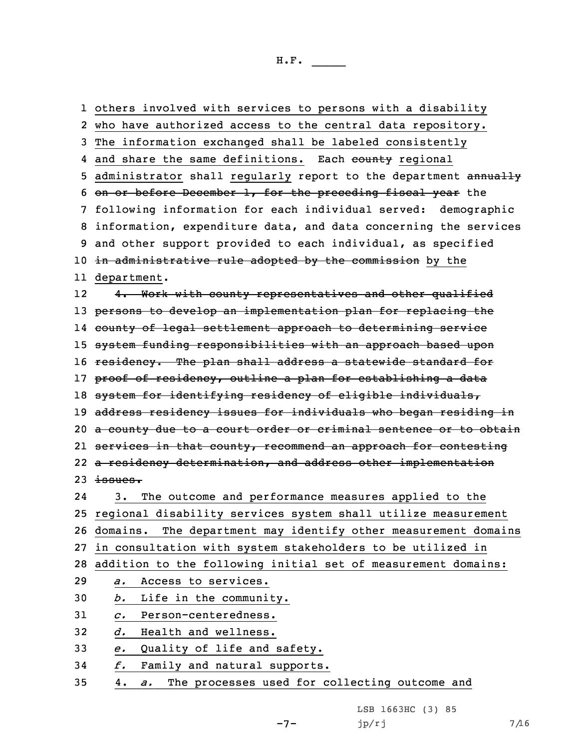others involved with services to persons with <sup>a</sup> disability who have authorized access to the central data repository. The information exchanged shall be labeled consistently 4 and share the same definitions. Each <del>county</del> regional 5 administrator shall regularly report to the department annually on or before December 1, for the preceding fiscal year the following information for each individual served: demographic information, expenditure data, and data concerning the services and other support provided to each individual, as specified 10 in administrative rule adopted by the commission by the department. 12 4. Work with county representatives and other qualified 13 persons to develop an implementation plan for replacing the county of legal settlement approach to determining service system funding responsibilities with an approach based upon 16 residency. The plan shall address a statewide standard for 17 proof of residency, outline a plan for establishing a data system for identifying residency of eligible individuals, 19 address residency issues for individuals who began residing in 20 a county due to a court order or criminal sentence or to obtain services in that county, recommend an approach for contesting 22 a residency determination, and address other implementation  $23$  issues. 24 3. The outcome and performance measures applied to the regional disability services system shall utilize measurement domains. The department may identify other measurement domains in consultation with system stakeholders to be utilized in addition to the following initial set of measurement domains: *a.* Access to services. *b.* Life in the community. *c.* Person-centeredness. *d.* Health and wellness. *e.* Quality of life and safety. *f.* Family and natural supports. 4. *a.* The processes used for collecting outcome and

 $-7-$ 

LSB 1663HC (3) 85  $jp/rj$  7/16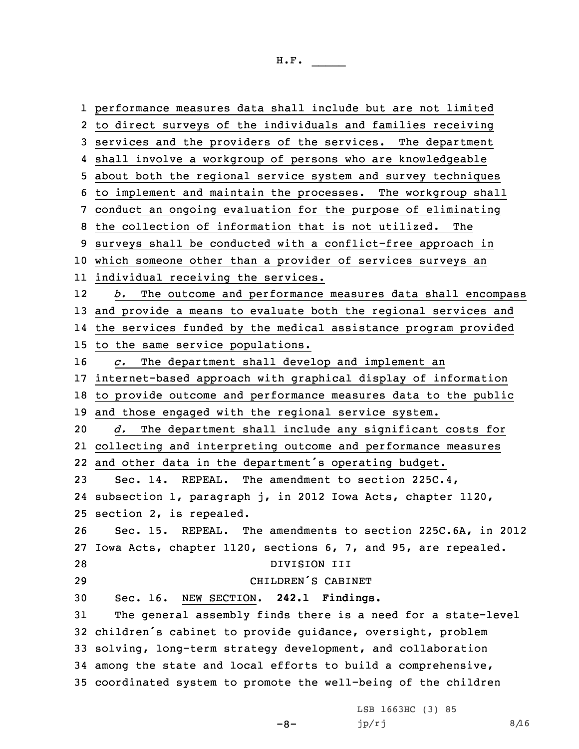performance measures data shall include but are not limited to direct surveys of the individuals and families receiving services and the providers of the services. The department shall involve <sup>a</sup> workgroup of persons who are knowledgeable about both the regional service system and survey techniques to implement and maintain the processes. The workgroup shall conduct an ongoing evaluation for the purpose of eliminating the collection of information that is not utilized. The surveys shall be conducted with <sup>a</sup> conflict-free approach in which someone other than <sup>a</sup> provider of services surveys an individual receiving the services. 12 *b.* The outcome and performance measures data shall encompass and provide <sup>a</sup> means to evaluate both the regional services and the services funded by the medical assistance program provided to the same service populations. *c.* The department shall develop and implement an internet-based approach with graphical display of information to provide outcome and performance measures data to the public and those engaged with the regional service system. *d.* The department shall include any significant costs for collecting and interpreting outcome and performance measures and other data in the department's operating budget. Sec. 14. REPEAL. The amendment to section 225C.4, subsection 1, paragraph j, in 2012 Iowa Acts, chapter 1120, section 2, is repealed. Sec. 15. REPEAL. The amendments to section 225C.6A, in 2012 Iowa Acts, chapter 1120, sections 6, 7, and 95, are repealed. DIVISION III CHILDREN'S CABINET Sec. 16. NEW SECTION. **242.1 Findings.** The general assembly finds there is <sup>a</sup> need for <sup>a</sup> state-level children's cabinet to provide guidance, oversight, problem solving, long-term strategy development, and collaboration among the state and local efforts to build <sup>a</sup> comprehensive, coordinated system to promote the well-being of the children

 $-8-$ 

LSB 1663HC (3) 85  $jp/rj$  8/16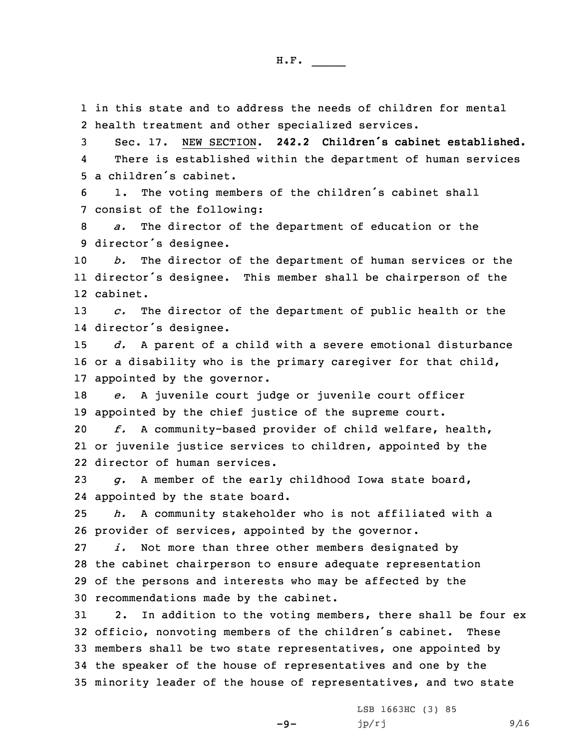1 in this state and to address the needs of children for mental 2 health treatment and other specialized services.

3 Sec. 17. NEW SECTION. **242.2 Children's cabinet established.** 4 There is established within the department of human services 5 <sup>a</sup> children's cabinet.

<sup>6</sup> 1. The voting members of the children's cabinet shall 7 consist of the following:

8 *a.* The director of the department of education or the <sup>9</sup> director's designee.

10 *b.* The director of the department of human services or the 11 director's designee. This member shall be chairperson of the 12 cabinet.

13 *c.* The director of the department of public health or the 14 director's designee.

15 *d.* <sup>A</sup> parent of <sup>a</sup> child with <sup>a</sup> severe emotional disturbance 16 or <sup>a</sup> disability who is the primary caregiver for that child, 17 appointed by the governor.

18 *e.* <sup>A</sup> juvenile court judge or juvenile court officer 19 appointed by the chief justice of the supreme court.

20 *f.* <sup>A</sup> community-based provider of child welfare, health, 21 or juvenile justice services to children, appointed by the 22 director of human services.

23 *g.* <sup>A</sup> member of the early childhood Iowa state board, 24 appointed by the state board.

25 *h.* <sup>A</sup> community stakeholder who is not affiliated with <sup>a</sup> 26 provider of services, appointed by the governor.

 *i.* Not more than three other members designated by the cabinet chairperson to ensure adequate representation of the persons and interests who may be affected by the recommendations made by the cabinet.

 2. In addition to the voting members, there shall be four ex officio, nonvoting members of the children's cabinet. These members shall be two state representatives, one appointed by the speaker of the house of representatives and one by the minority leader of the house of representatives, and two state

 $-9-$ 

LSB 1663HC (3) 85  $jp/rj$  9/16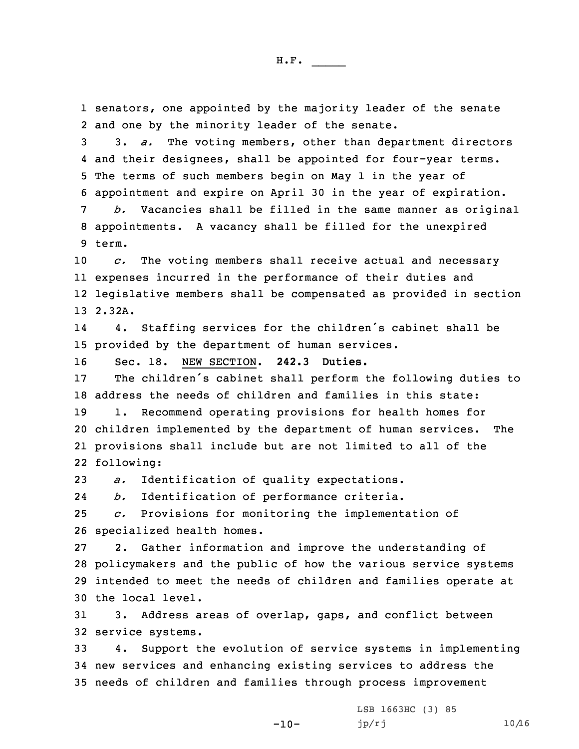senators, one appointed by the majority leader of the senate and one by the minority leader of the senate. 3. *a.* The voting members, other than department directors and their designees, shall be appointed for four-year terms. The terms of such members begin on May 1 in the year of appointment and expire on April 30 in the year of expiration. *b.* Vacancies shall be filled in the same manner as original appointments. <sup>A</sup> vacancy shall be filled for the unexpired 9 term. *c.* The voting members shall receive actual and necessary expenses incurred in the performance of their duties and legislative members shall be compensated as provided in section 13 2.32A. 14 4. Staffing services for the children's cabinet shall be provided by the department of human services. Sec. 18. NEW SECTION. **242.3 Duties.** The children's cabinet shall perform the following duties to address the needs of children and families in this state: 1. Recommend operating provisions for health homes for children implemented by the department of human services. The provisions shall include but are not limited to all of the following: *a.* Identification of quality expectations. 24 *b.* Identification of performance criteria. *c.* Provisions for monitoring the implementation of specialized health homes. 2. Gather information and improve the understanding of policymakers and the public of how the various service systems intended to meet the needs of children and families operate at the local level. 3. Address areas of overlap, gaps, and conflict between service systems. 4. Support the evolution of service systems in implementing new services and enhancing existing services to address the

35 needs of children and families through process improvement

-10-

LSB 1663HC (3) 85  $jp/rj$  10/16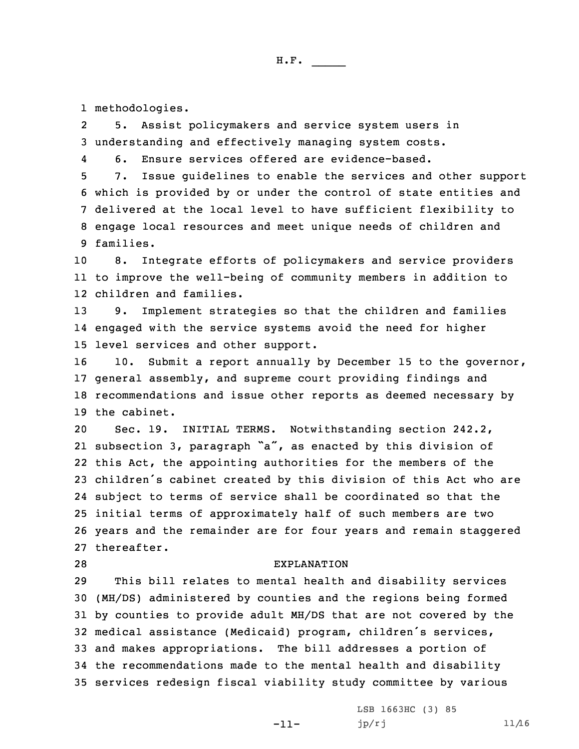1 methodologies.

2 5. Assist policymakers and service system users in 3 understanding and effectively managing system costs.

46. Ensure services offered are evidence-based.

 7. Issue guidelines to enable the services and other support which is provided by or under the control of state entities and delivered at the local level to have sufficient flexibility to engage local resources and meet unique needs of children and families.

10 8. Integrate efforts of policymakers and service providers 11 to improve the well-being of community members in addition to 12 children and families.

13 9. Implement strategies so that the children and families 14 engaged with the service systems avoid the need for higher 15 level services and other support.

 10. Submit <sup>a</sup> report annually by December 15 to the governor, general assembly, and supreme court providing findings and recommendations and issue other reports as deemed necessary by the cabinet.

 Sec. 19. INITIAL TERMS. Notwithstanding section 242.2, subsection 3, paragraph "a", as enacted by this division of this Act, the appointing authorities for the members of the children's cabinet created by this division of this Act who are subject to terms of service shall be coordinated so that the initial terms of approximately half of such members are two years and the remainder are for four years and remain staggered thereafter.

## 28 EXPLANATION

 This bill relates to mental health and disability services (MH/DS) administered by counties and the regions being formed by counties to provide adult MH/DS that are not covered by the medical assistance (Medicaid) program, children's services, and makes appropriations. The bill addresses <sup>a</sup> portion of the recommendations made to the mental health and disability services redesign fiscal viability study committee by various

-11-

LSB 1663HC (3) 85  $jp/rj$  11/16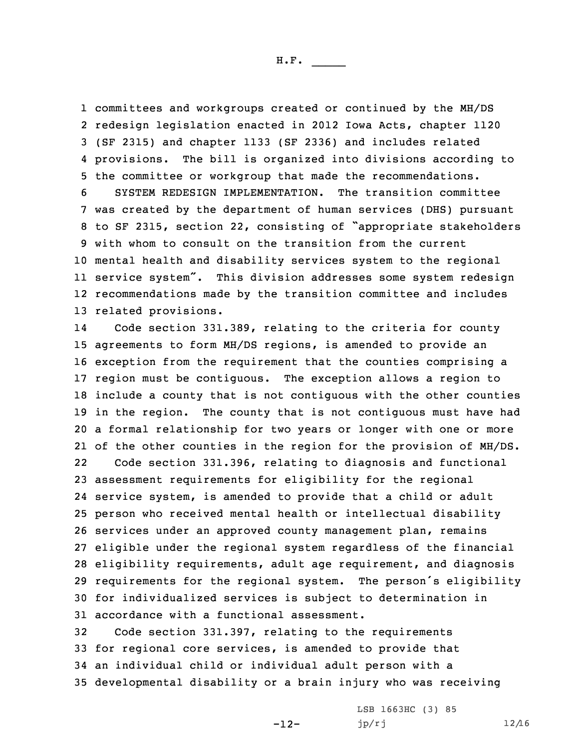committees and workgroups created or continued by the MH/DS redesign legislation enacted in 2012 Iowa Acts, chapter 1120 (SF 2315) and chapter 1133 (SF 2336) and includes related provisions. The bill is organized into divisions according to the committee or workgroup that made the recommendations. SYSTEM REDESIGN IMPLEMENTATION. The transition committee was created by the department of human services (DHS) pursuant to SF 2315, section 22, consisting of "appropriate stakeholders with whom to consult on the transition from the current mental health and disability services system to the regional service system". This division addresses some system redesign recommendations made by the transition committee and includes related provisions.

14 Code section 331.389, relating to the criteria for county agreements to form MH/DS regions, is amended to provide an exception from the requirement that the counties comprising <sup>a</sup> region must be contiguous. The exception allows <sup>a</sup> region to include <sup>a</sup> county that is not contiguous with the other counties in the region. The county that is not contiguous must have had <sup>a</sup> formal relationship for two years or longer with one or more of the other counties in the region for the provision of MH/DS.

22 Code section 331.396, relating to diagnosis and functional assessment requirements for eligibility for the regional service system, is amended to provide that <sup>a</sup> child or adult person who received mental health or intellectual disability services under an approved county management plan, remains eligible under the regional system regardless of the financial eligibility requirements, adult age requirement, and diagnosis requirements for the regional system. The person's eligibility for individualized services is subject to determination in accordance with <sup>a</sup> functional assessment.

 Code section 331.397, relating to the requirements for regional core services, is amended to provide that an individual child or individual adult person with <sup>a</sup> developmental disability or <sup>a</sup> brain injury who was receiving

-12-

LSB 1663HC (3) 85  $jp/rj$  12/16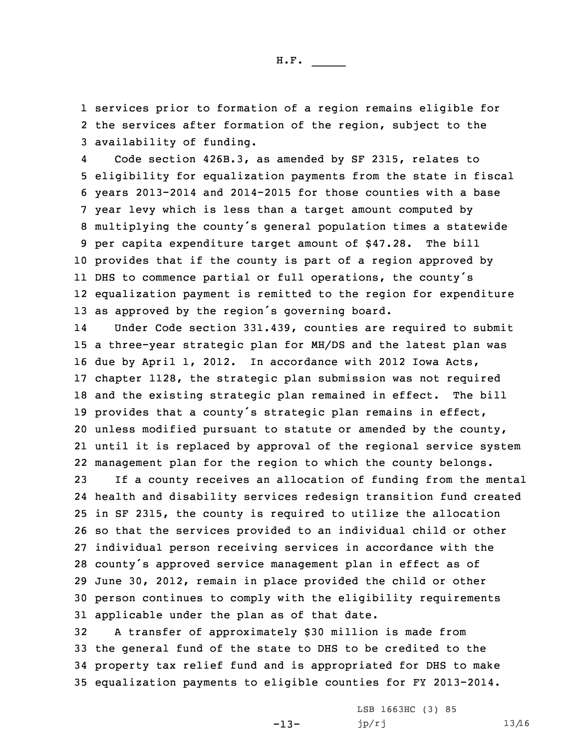1 services prior to formation of <sup>a</sup> region remains eligible for 2 the services after formation of the region, subject to the 3 availability of funding.

4 Code section 426B.3, as amended by SF 2315, relates to eligibility for equalization payments from the state in fiscal years 2013-2014 and 2014-2015 for those counties with <sup>a</sup> base year levy which is less than <sup>a</sup> target amount computed by multiplying the county's general population times <sup>a</sup> statewide per capita expenditure target amount of \$47.28. The bill provides that if the county is part of <sup>a</sup> region approved by DHS to commence partial or full operations, the county's equalization payment is remitted to the region for expenditure as approved by the region's governing board.

14 Under Code section 331.439, counties are required to submit <sup>a</sup> three-year strategic plan for MH/DS and the latest plan was due by April 1, 2012. In accordance with 2012 Iowa Acts, chapter 1128, the strategic plan submission was not required and the existing strategic plan remained in effect. The bill provides that <sup>a</sup> county's strategic plan remains in effect, unless modified pursuant to statute or amended by the county, until it is replaced by approval of the regional service system management plan for the region to which the county belongs.

 If <sup>a</sup> county receives an allocation of funding from the mental health and disability services redesign transition fund created in SF 2315, the county is required to utilize the allocation so that the services provided to an individual child or other individual person receiving services in accordance with the county's approved service management plan in effect as of June 30, 2012, remain in place provided the child or other person continues to comply with the eligibility requirements applicable under the plan as of that date.

 <sup>A</sup> transfer of approximately \$30 million is made from the general fund of the state to DHS to be credited to the property tax relief fund and is appropriated for DHS to make equalization payments to eligible counties for FY 2013-2014.

-13-

LSB 1663HC (3) 85  $jp/rj$  13/16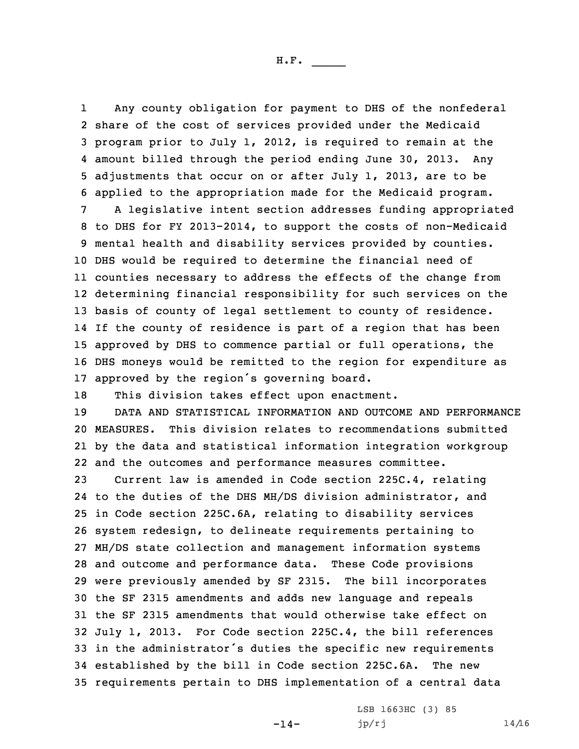1 Any county obligation for payment to DHS of the nonfederal share of the cost of services provided under the Medicaid program prior to July 1, 2012, is required to remain at the amount billed through the period ending June 30, 2013. Any adjustments that occur on or after July 1, 2013, are to be applied to the appropriation made for the Medicaid program.

 <sup>A</sup> legislative intent section addresses funding appropriated to DHS for FY 2013-2014, to support the costs of non-Medicaid mental health and disability services provided by counties. DHS would be required to determine the financial need of counties necessary to address the effects of the change from determining financial responsibility for such services on the basis of county of legal settlement to county of residence. If the county of residence is part of <sup>a</sup> region that has been approved by DHS to commence partial or full operations, the DHS moneys would be remitted to the region for expenditure as approved by the region's governing board.

18 This division takes effect upon enactment.

 DATA AND STATISTICAL INFORMATION AND OUTCOME AND PERFORMANCE MEASURES. This division relates to recommendations submitted by the data and statistical information integration workgroup and the outcomes and performance measures committee.

 Current law is amended in Code section 225C.4, relating to the duties of the DHS MH/DS division administrator, and in Code section 225C.6A, relating to disability services system redesign, to delineate requirements pertaining to MH/DS state collection and management information systems and outcome and performance data. These Code provisions were previously amended by SF 2315. The bill incorporates the SF 2315 amendments and adds new language and repeals the SF 2315 amendments that would otherwise take effect on July 1, 2013. For Code section 225C.4, the bill references in the administrator's duties the specific new requirements established by the bill in Code section 225C.6A. The new requirements pertain to DHS implementation of <sup>a</sup> central data

 $-14-$ 

LSB 1663HC (3) 85  $jp/rj$  14/16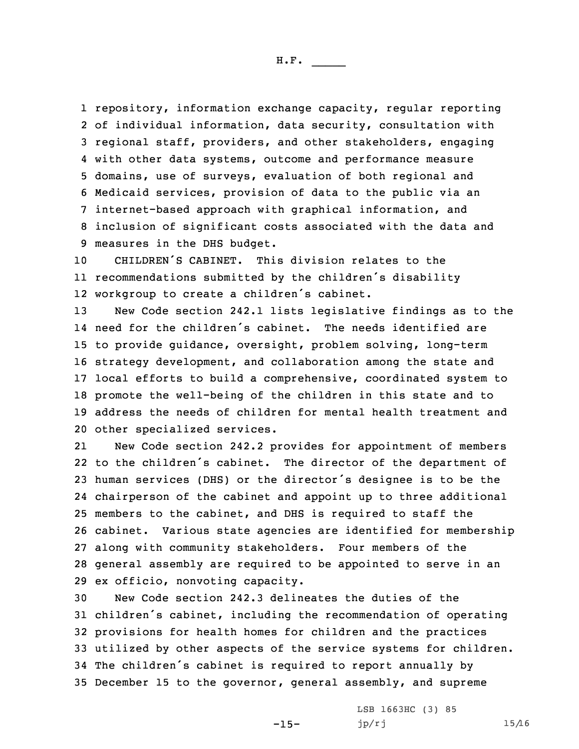repository, information exchange capacity, regular reporting of individual information, data security, consultation with regional staff, providers, and other stakeholders, engaging with other data systems, outcome and performance measure domains, use of surveys, evaluation of both regional and Medicaid services, provision of data to the public via an internet-based approach with graphical information, and inclusion of significant costs associated with the data and measures in the DHS budget.

10 CHILDREN'S CABINET. This division relates to the 11 recommendations submitted by the children's disability 12 workgroup to create <sup>a</sup> children's cabinet.

 New Code section 242.1 lists legislative findings as to the need for the children's cabinet. The needs identified are to provide guidance, oversight, problem solving, long-term strategy development, and collaboration among the state and local efforts to build <sup>a</sup> comprehensive, coordinated system to promote the well-being of the children in this state and to address the needs of children for mental health treatment and other specialized services.

21 New Code section 242.2 provides for appointment of members to the children's cabinet. The director of the department of human services (DHS) or the director's designee is to be the chairperson of the cabinet and appoint up to three additional members to the cabinet, and DHS is required to staff the cabinet. Various state agencies are identified for membership along with community stakeholders. Four members of the general assembly are required to be appointed to serve in an ex officio, nonvoting capacity.

 New Code section 242.3 delineates the duties of the children's cabinet, including the recommendation of operating provisions for health homes for children and the practices utilized by other aspects of the service systems for children. The children's cabinet is required to report annually by December 15 to the governor, general assembly, and supreme

-15-

LSB 1663HC (3) 85  $jp/rj$  15/16